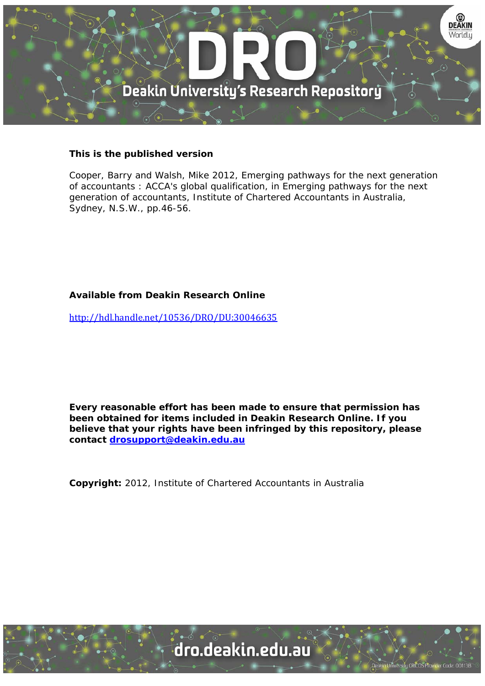

# **This is the published version**

Cooper, Barry and Walsh, Mike 2012, Emerging pathways for the next generation of accountants : ACCA's global qualification, in Emerging pathways for the next generation of accountants, Institute of Chartered Accountants in Australia, Sydney, N.S.W., pp.46-56.

# **Available from Deakin Research Online**

http://hdl.handle.net/10536/DRO/DU:30046635

**Every reasonable effort has been made to ensure that permission has been obtained for items included in Deakin Research Online. If you believe that your rights have been infringed by this repository, please contact drosupport@deakin.edu.au** 

**Copyright:** 2012, Institute of Chartered Accountants in Australia

University CRICOS Provider Code: 00113B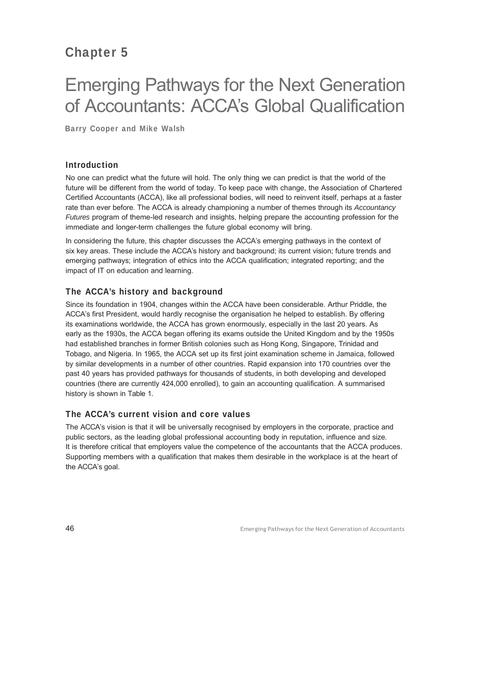# Chapter 5

# Emerging Pathways for the Next Generation of Accountants: ACCA's Global Qualification

Barry Cooper and Mike Walsh

# Introduction

No one can predict what the future will hold. The only thing we can predict is that the world of the future will be different from the world of today. To keep pace with change, the Association of Chartered Certified Accountants (ACCA), like all professional bodies, will need to reinvent itself, perhaps at a faster rate than ever before. The ACCA is already championing a number of themes through its *Accountancy Futures* program of theme-led research and insights, helping prepare the accounting profession for the immediate and longer-term challenges the future global economy will bring.

In considering the future, this chapter discusses the ACCA's emerging pathways in the context of six key areas. These include the ACCA's history and background; its current vision; future trends and emerging pathways; integration of ethics into the ACCA qualification; integrated reporting; and the impact of IT on education and learning.

# The ACCA's history and background

Since its foundation in 1904, changes within the ACCA have been considerable. Arthur Priddle, the ACCA's first President, would hardly recognise the organisation he helped to establish. By offering its examinations worldwide, the ACCA has grown enormously, especially in the last 20 years. As early as the 1930s, the ACCA began offering its exams outside the United Kingdom and by the 1950s had established branches in former British colonies such as Hong Kong, Singapore, Trinidad and Tobago, and Nigeria. In 1965, the ACCA set up its first joint examination scheme in Jamaica, followed by similar developments in a number of other countries. Rapid expansion into 170 countries over the past 40 years has provided pathways for thousands of students, in both developing and developed countries (there are currently 424,000 enrolled), to gain an accounting qualification. A summarised history is shown in Table 1.

# The ACCA's current vision and core values

The ACCA's vision is that it will be universally recognised by employers in the corporate, practice and public sectors, as the leading global professional accounting body in reputation, influence and size. It is therefore critical that employers value the competence of the accountants that the ACCA produces. Supporting members with a qualification that makes them desirable in the workplace is at the heart of the ACCA's goal.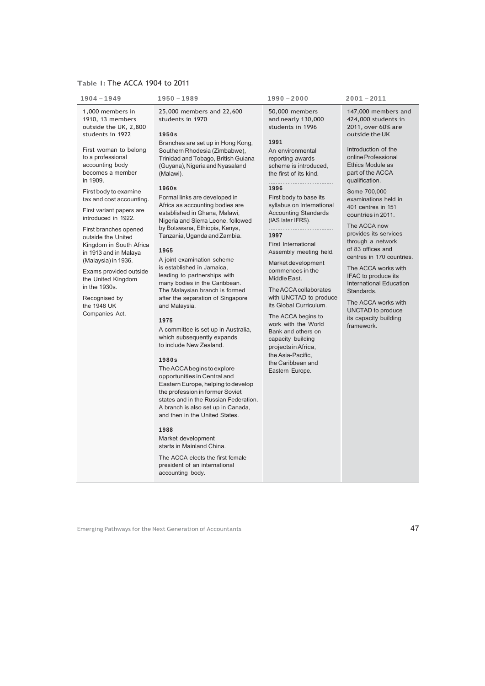# **Table 1:** The ACCA 1904 to 2011

| 1904 - 1949                                                                                                                                                                                                                                                                                                                                                                                                                                                                                                                             | 1950 - 1989                                                                                                                                                                                                                                                                                                                                                                                                                                                                                                                                                                                                                                                                                                                                                                                                                                                                                                                                                                                                                                                                                                                                                                                        | 1990 - 2000                                                                                                                                                                                                                                                                                                                                                                                                                                                                                                                                                                                                                                                | 2001 - 2011                                                                                                                                                                                                                                                                                                                                                                                                                                                                                                                                                                     |
|-----------------------------------------------------------------------------------------------------------------------------------------------------------------------------------------------------------------------------------------------------------------------------------------------------------------------------------------------------------------------------------------------------------------------------------------------------------------------------------------------------------------------------------------|----------------------------------------------------------------------------------------------------------------------------------------------------------------------------------------------------------------------------------------------------------------------------------------------------------------------------------------------------------------------------------------------------------------------------------------------------------------------------------------------------------------------------------------------------------------------------------------------------------------------------------------------------------------------------------------------------------------------------------------------------------------------------------------------------------------------------------------------------------------------------------------------------------------------------------------------------------------------------------------------------------------------------------------------------------------------------------------------------------------------------------------------------------------------------------------------------|------------------------------------------------------------------------------------------------------------------------------------------------------------------------------------------------------------------------------------------------------------------------------------------------------------------------------------------------------------------------------------------------------------------------------------------------------------------------------------------------------------------------------------------------------------------------------------------------------------------------------------------------------------|---------------------------------------------------------------------------------------------------------------------------------------------------------------------------------------------------------------------------------------------------------------------------------------------------------------------------------------------------------------------------------------------------------------------------------------------------------------------------------------------------------------------------------------------------------------------------------|
| 1,000 members in<br>1910, 13 members<br>outside the UK, 2,800<br>students in 1922<br>First woman to belong<br>to a professional<br>accounting body<br>becomes a member<br>in 1909.<br>First body to examine<br>tax and cost accounting.<br>First variant papers are<br>introduced in 1922.<br>First branches opened<br>outside the United<br>Kingdom in South Africa<br>in 1913 and in Malaya<br>(Malaysia) in 1936.<br>Exams provided outside<br>the United Kingdom<br>in the 1930s.<br>Recognised by<br>the 1948 UK<br>Companies Act. | 25,000 members and 22,600<br>students in 1970<br>1950s<br>Branches are set up in Hong Kong,<br>Southern Rhodesia (Zimbabwe),<br>Trinidad and Tobago, British Guiana<br>(Guyana), Nigeria and Nyasaland<br>(Malawi).<br>1960s<br>Formal links are developed in<br>Africa as accounting bodies are<br>established in Ghana, Malawi,<br>Nigeria and Sierra Leone, followed<br>by Botswana, Ethiopia, Kenya,<br>Tanzania, Uganda and Zambia.<br>1965<br>A joint examination scheme<br>is established in Jamaica,<br>leading to partnerships with<br>many bodies in the Caribbean.<br>The Malaysian branch is formed<br>after the separation of Singapore<br>and Malaysia.<br>1975<br>A committee is set up in Australia,<br>which subsequently expands<br>to include New Zealand.<br>1980s<br>The ACCA begins to explore<br>opportunities in Central and<br>Eastern Europe, helping to develop<br>the profession in former Soviet<br>states and in the Russian Federation.<br>A branch is also set up in Canada,<br>and then in the United States.<br>1988<br>Market development<br>starts in Mainland China.<br>The ACCA elects the first female<br>president of an international<br>accounting body. | 50,000 members<br>and nearly 130,000<br>students in 1996<br>1991<br>An environmental<br>reporting awards<br>scheme is introduced,<br>the first of its kind.<br>1996<br>First body to base its<br>syllabus on International<br><b>Accounting Standards</b><br>(IAS later IFRS).<br>1997<br>First International<br>Assembly meeting held.<br>Market development<br>commences in the<br>Middle East.<br>The ACCA collaborates<br>with UNCTAD to produce<br>its Global Curriculum.<br>The ACCA begins to<br>work with the World<br>Bank and others on<br>capacity building<br>projects in Africa,<br>the Asia-Pacific.<br>the Caribbean and<br>Eastern Europe. | 147,000 members and<br>424,000 students in<br>2011, over 60% are<br>outside the UK<br>Introduction of the<br>online Professional<br>Ethics Module as<br>part of the ACCA<br>qualification.<br>Some 700,000<br>examinations held in<br>401 centres in 151<br>countries in 2011.<br>The ACCA now<br>provides its services<br>through a network<br>of 83 offices and<br>centres in 170 countries.<br>The ACCA works with<br>IFAC to produce its<br><b>International Education</b><br>Standards.<br>The ACCA works with<br>UNCTAD to produce<br>its capacity building<br>framework. |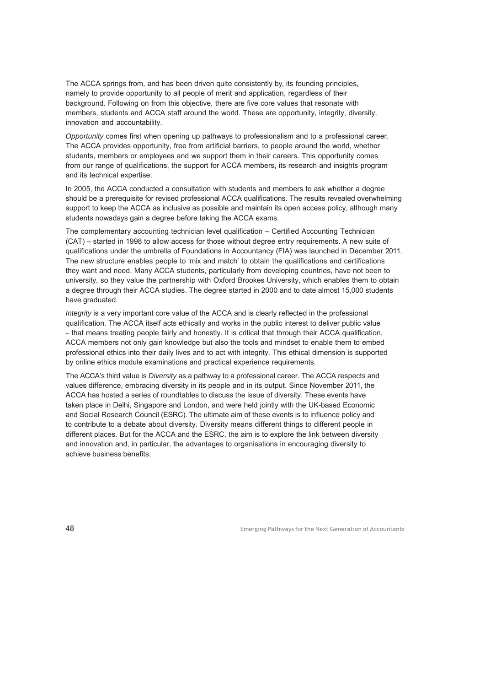The ACCA springs from, and has been driven quite consistently by, its founding principles, namely to provide opportunity to all people of merit and application, regardless of their background. Following on from this objective, there are five core values that resonate with members, students and ACCA staff around the world. These are opportunity, integrity, diversity, innovation and accountability.

*Opportunity* comes first when opening up pathways to professionalism and to a professional career. The ACCA provides opportunity, free from artificial barriers, to people around the world, whether students, members or employees and we support them in their careers. This opportunity comes from our range of qualifications, the support for ACCA members, its research and insights program and its technical expertise.

In 2005, the ACCA conducted a consultation with students and members to ask whether a degree should be a prerequisite for revised professional ACCA qualifications. The results revealed overwhelming support to keep the ACCA as inclusive as possible and maintain its open access policy, although many students nowadays gain a degree before taking the ACCA exams.

The complementary accounting technician level qualification – Certified Accounting Technician (CAT) – started in 1998 to allow access for those without degree entry requirements. A new suite of qualifications under the umbrella of Foundations in Accountancy (FIA) was launched in December 2011. The new structure enables people to 'mix and match' to obtain the qualifications and certifications they want and need. Many ACCA students, particularly from developing countries, have not been to university, so they value the partnership with Oxford Brookes University, which enables them to obtain a degree through their ACCA studies. The degree started in 2000 and to date almost 15,000 students have graduated.

*Integrity* is a very important core value of the ACCA and is clearly reflected in the professional qualification. The ACCA itself acts ethically and works in the public interest to deliver public value – that means treating people fairly and honestly. It is critical that through their ACCA qualification, ACCA members not only gain knowledge but also the tools and mindset to enable them to embed professional ethics into their daily lives and to act with integrity. This ethical dimension is supported by online ethics module examinations and practical experience requirements.

The ACCA's third value is *Diversity* as a pathway to a professional career. The ACCA respects and values difference, embracing diversity in its people and in its output. Since November 2011, the ACCA has hosted a series of roundtables to discuss the issue of diversity. These events have taken place in Delhi, Singapore and London, and were held jointly with the UK-based Economic and Social Research Council (ESRC). The ultimate aim of these events is to influence policy and to contribute to a debate about diversity. Diversity means different things to different people in different places. But for the ACCA and the ESRC, the aim is to explore the link between diversity and innovation and, in particular, the advantages to organisations in encouraging diversity to achieve business benefits.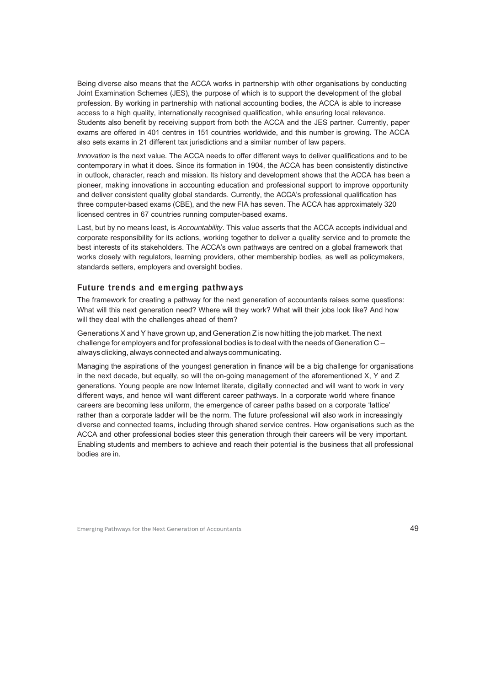Being diverse also means that the ACCA works in partnership with other organisations by conducting Joint Examination Schemes (JES), the purpose of which is to support the development of the global profession. By working in partnership with national accounting bodies, the ACCA is able to increase access to a high quality, internationally recognised qualification, while ensuring local relevance. Students also benefit by receiving support from both the ACCA and the JES partner. Currently, paper exams are offered in 401 centres in 151 countries worldwide, and this number is growing. The ACCA also sets exams in 21 different tax jurisdictions and a similar number of law papers.

*Innovation* is the next value. The ACCA needs to offer different ways to deliver qualifications and to be contemporary in what it does. Since its formation in 1904, the ACCA has been consistently distinctive in outlook, character, reach and mission. Its history and development shows that the ACCA has been a pioneer, making innovations in accounting education and professional support to improve opportunity and deliver consistent quality global standards. Currently, the ACCA's professional qualification has three computer-based exams (CBE), and the new FIA has seven. The ACCA has approximately 320 licensed centres in 67 countries running computer-based exams.

Last, but by no means least, is *Accountability*. This value asserts that the ACCA accepts individual and corporate responsibility for its actions, working together to deliver a quality service and to promote the best interests of its stakeholders. The ACCA's own pathways are centred on a global framework that works closely with regulators, learning providers, other membership bodies, as well as policymakers, standards setters, employers and oversight bodies.

#### Future trends and emerging pathways

The framework for creating a pathway for the next generation of accountants raises some questions: What will this next generation need? Where will they work? What will their jobs look like? And how will they deal with the challenges ahead of them?

Generations X and Y have grown up, and Generation Z is now hitting the job market. The next challenge for employers and for professional bodies is to deal with the needs of Generation C – always clicking, always connected and always communicating.

Managing the aspirations of the youngest generation in finance will be a big challenge for organisations in the next decade, but equally, so will the on-going management of the aforementioned X, Y and Z generations. Young people are now Internet literate, digitally connected and will want to work in very different ways, and hence will want different career pathways. In a corporate world where finance careers are becoming less uniform, the emergence of career paths based on a corporate 'lattice' rather than a corporate ladder will be the norm. The future professional will also work in increasingly diverse and connected teams, including through shared service centres. How organisations such as the ACCA and other professional bodies steer this generation through their careers will be very important. Enabling students and members to achieve and reach their potential is the business that all professional bodies are in.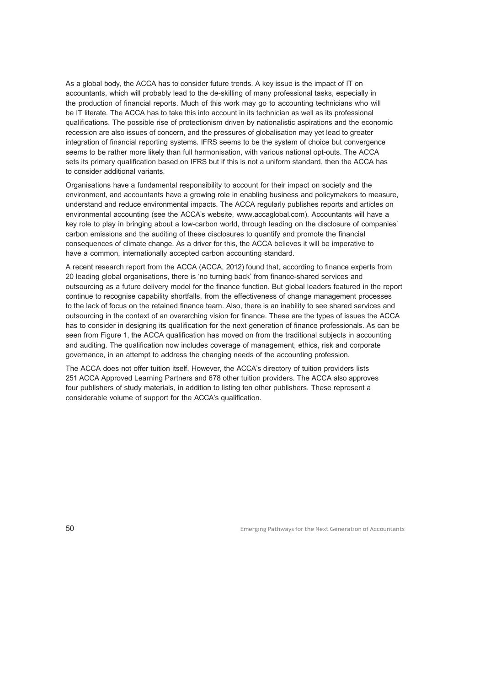As a global body, the ACCA has to consider future trends. A key issue is the impact of IT on accountants, which will probably lead to the de-skilling of many professional tasks, especially in the production of financial reports. Much of this work may go to accounting technicians who will be IT literate. The ACCA has to take this into account in its technician as well as its professional qualifications. The possible rise of protectionism driven by nationalistic aspirations and the economic recession are also issues of concern, and the pressures of globalisation may yet lead to greater integration of financial reporting systems. IFRS seems to be the system of choice but convergence seems to be rather more likely than full harmonisation, with various national opt-outs. The ACCA sets its primary qualification based on IFRS but if this is not a uniform standard, then the ACCA has to consider additional variants.

Organisations have a fundamental responsibility to account for their impact on society and the environment, and accountants have a growing role in enabling business and policymakers to measure, understand and reduce environmental impacts. The ACCA regularly publishes reports and articles on environmental accounting (see the ACCA's website, www.accaglobal.com). Accountants will have a key role to play in bringing about a low-carbon world, through leading on the disclosure of companies' carbon emissions and the auditing of these disclosures to quantify and promote the financial consequences of climate change. As a driver for this, the ACCA believes it will be imperative to have a common, internationally accepted carbon accounting standard.

A recent research report from the ACCA (ACCA, 2012) found that, according to finance experts from 20 leading global organisations, there is 'no turning back' from finance-shared services and outsourcing as a future delivery model for the finance function. But global leaders featured in the report continue to recognise capability shortfalls, from the effectiveness of change management processes to the lack of focus on the retained finance team. Also, there is an inability to see shared services and outsourcing in the context of an overarching vision for finance. These are the types of issues the ACCA has to consider in designing its qualification for the next generation of finance professionals. As can be seen from Figure 1, the ACCA qualification has moved on from the traditional subjects in accounting and auditing. The qualification now includes coverage of management, ethics, risk and corporate governance, in an attempt to address the changing needs of the accounting profession.

The ACCA does not offer tuition itself. However, the ACCA's directory of tuition providers lists 251 ACCA Approved Learning Partners and 678 other tuition providers. The ACCA also approves four publishers of study materials, in addition to listing ten other publishers. These represent a considerable volume of support for the ACCA's qualification.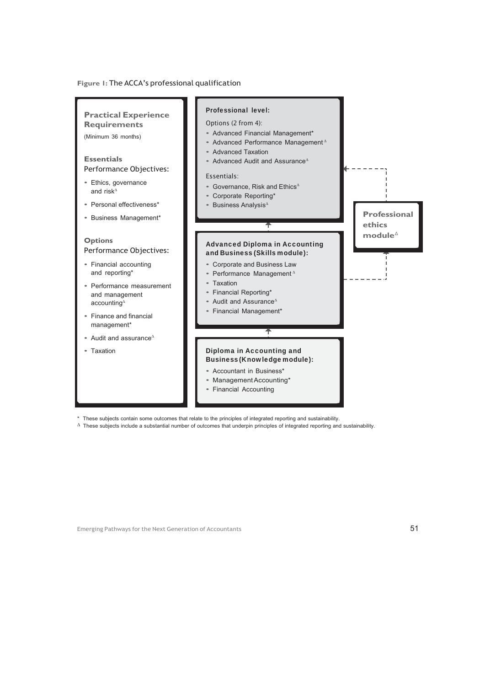#### **Figure 1:** The ACCA's professional qualification



\* These subjects contain some outcomes that relate to the principles of integrated reporting and sustainability.

∆ These subjects include a substantial number of outcomes that underpin principles of integrated reporting and sustainability.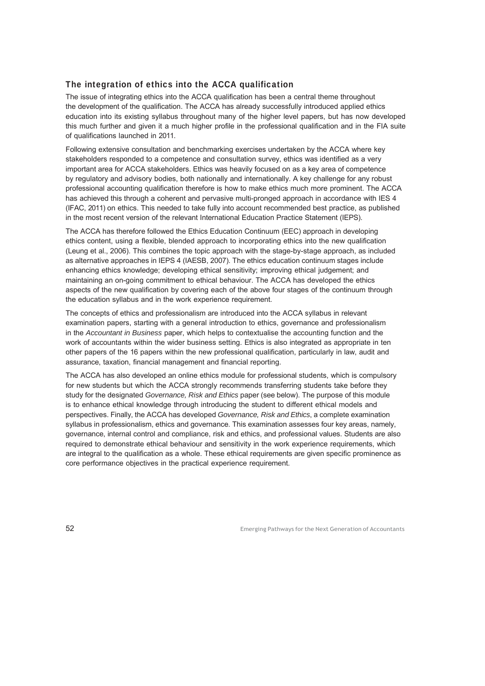# The integration of ethics into the ACCA qualification

The issue of integrating ethics into the ACCA qualification has been a central theme throughout the development of the qualification. The ACCA has already successfully introduced applied ethics education into its existing syllabus throughout many of the higher level papers, but has now developed this much further and given it a much higher profile in the professional qualification and in the FIA suite of qualifications launched in 2011.

Following extensive consultation and benchmarking exercises undertaken by the ACCA where key stakeholders responded to a competence and consultation survey, ethics was identified as a very important area for ACCA stakeholders. Ethics was heavily focused on as a key area of competence by regulatory and advisory bodies, both nationally and internationally. A key challenge for any robust professional accounting qualification therefore is how to make ethics much more prominent. The ACCA has achieved this through a coherent and pervasive multi-pronged approach in accordance with IES 4 (IFAC, 2011) on ethics. This needed to take fully into account recommended best practice, as published in the most recent version of the relevant International Education Practice Statement (IEPS).

The ACCA has therefore followed the Ethics Education Continuum (EEC) approach in developing ethics content, using a flexible, blended approach to incorporating ethics into the new qualification (Leung et al., 2006). This combines the topic approach with the stage-by-stage approach, as included as alternative approaches in IEPS 4 (IAESB, 2007). The ethics education continuum stages include enhancing ethics knowledge; developing ethical sensitivity; improving ethical judgement; and maintaining an on-going commitment to ethical behaviour. The ACCA has developed the ethics aspects of the new qualification by covering each of the above four stages of the continuum through the education syllabus and in the work experience requirement.

The concepts of ethics and professionalism are introduced into the ACCA syllabus in relevant examination papers, starting with a general introduction to ethics, governance and professionalism in the *Accountant in Business* paper, which helps to contextualise the accounting function and the work of accountants within the wider business setting. Ethics is also integrated as appropriate in ten other papers of the 16 papers within the new professional qualification, particularly in law, audit and assurance, taxation, financial management and financial reporting.

The ACCA has also developed an online ethics module for professional students, which is compulsory for new students but which the ACCA strongly recommends transferring students take before they study for the designated *Governance, Risk and Ethics* paper (see below). The purpose of this module is to enhance ethical knowledge through introducing the student to different ethical models and perspectives. Finally, the ACCA has developed *Governance, Risk and Ethics*, a complete examination syllabus in professionalism, ethics and governance. This examination assesses four key areas, namely, governance, internal control and compliance, risk and ethics, and professional values. Students are also required to demonstrate ethical behaviour and sensitivity in the work experience requirements, which are integral to the qualification as a whole. These ethical requirements are given specific prominence as core performance objectives in the practical experience requirement.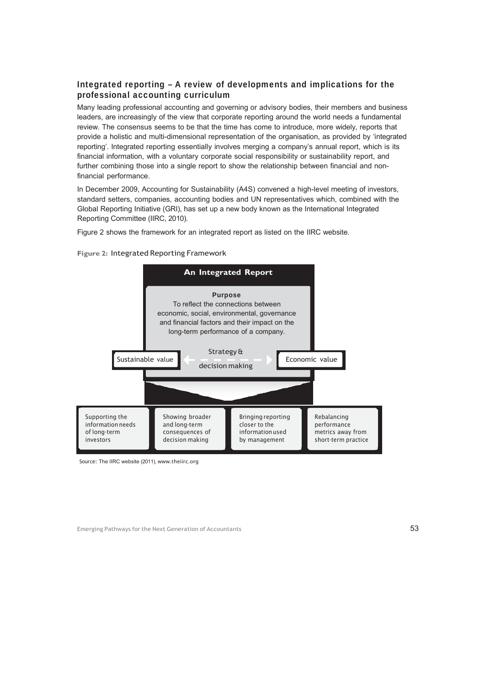# Integrated reporting – A review of developments and implications for the professional accounting curriculum

Many leading professional accounting and governing or advisory bodies, their members and business leaders, are increasingly of the view that corporate reporting around the world needs a fundamental review. The consensus seems to be that the time has come to introduce, more widely, reports that provide a holistic and multi-dimensional representation of the organisation, as provided by 'integrated reporting'. Integrated reporting essentially involves merging a company's annual report, which is its financial information, with a voluntary corporate social responsibility or sustainability report, and further combining those into a single report to show the relationship between financial and nonfinancial performance.

In December 2009, Accounting for Sustainability (A4S) convened a high-level meeting of investors, standard setters, companies, accounting bodies and UN representatives which, combined with the Global Reporting Initiative (GRI), has set up a new body known as the International Integrated Reporting Committee (IIRC, 2010).

Figure 2 shows the framework for an integrated report as listed on the IIRC website.



**Figure 2:** Integrated Reporting Framework

Source: The IIRC website (2011), www.theiirc.org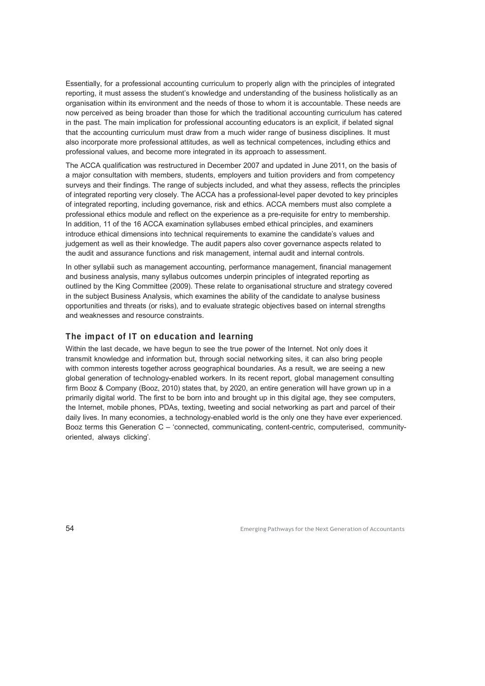Essentially, for a professional accounting curriculum to properly align with the principles of integrated reporting, it must assess the student's knowledge and understanding of the business holistically as an organisation within its environment and the needs of those to whom it is accountable. These needs are now perceived as being broader than those for which the traditional accounting curriculum has catered in the past. The main implication for professional accounting educators is an explicit, if belated signal that the accounting curriculum must draw from a much wider range of business disciplines. It must also incorporate more professional attitudes, as well as technical competences, including ethics and professional values, and become more integrated in its approach to assessment.

The ACCA qualification was restructured in December 2007 and updated in June 2011, on the basis of a major consultation with members, students, employers and tuition providers and from competency surveys and their findings. The range of subjects included, and what they assess, reflects the principles of integrated reporting very closely. The ACCA has a professional-level paper devoted to key principles of integrated reporting, including governance, risk and ethics. ACCA members must also complete a professional ethics module and reflect on the experience as a pre-requisite for entry to membership. In addition, 11 of the 16 ACCA examination syllabuses embed ethical principles, and examiners introduce ethical dimensions into technical requirements to examine the candidate's values and judgement as well as their knowledge. The audit papers also cover governance aspects related to the audit and assurance functions and risk management, internal audit and internal controls.

In other syllabii such as management accounting, performance management, financial management and business analysis, many syllabus outcomes underpin principles of integrated reporting as outlined by the King Committee (2009). These relate to organisational structure and strategy covered in the subject Business Analysis, which examines the ability of the candidate to analyse business opportunities and threats (or risks), and to evaluate strategic objectives based on internal strengths and weaknesses and resource constraints.

#### The impact of IT on education and learning

Within the last decade, we have begun to see the true power of the Internet. Not only does it transmit knowledge and information but, through social networking sites, it can also bring people with common interests together across geographical boundaries. As a result, we are seeing a new global generation of technology-enabled workers. In its recent report, global management consulting firm Booz & Company (Booz, 2010) states that, by 2020, an entire generation will have grown up in a primarily digital world. The first to be born into and brought up in this digital age, they see computers, the Internet, mobile phones, PDAs, texting, tweeting and social networking as part and parcel of their daily lives. In many economies, a technology-enabled world is the only one they have ever experienced. Booz terms this Generation C – 'connected, communicating, content-centric, computerised, communityoriented, always clicking'.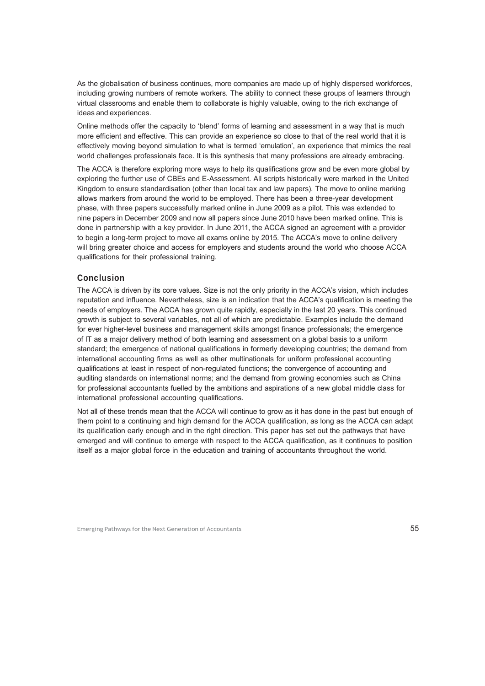As the globalisation of business continues, more companies are made up of highly dispersed workforces, including growing numbers of remote workers. The ability to connect these groups of learners through virtual classrooms and enable them to collaborate is highly valuable, owing to the rich exchange of ideas and experiences.

Online methods offer the capacity to 'blend' forms of learning and assessment in a way that is much more efficient and effective. This can provide an experience so close to that of the real world that it is effectively moving beyond simulation to what is termed 'emulation', an experience that mimics the real world challenges professionals face. It is this synthesis that many professions are already embracing.

The ACCA is therefore exploring more ways to help its qualifications grow and be even more global by exploring the further use of CBEs and E-Assessment. All scripts historically were marked in the United Kingdom to ensure standardisation (other than local tax and law papers). The move to online marking allows markers from around the world to be employed. There has been a three-year development phase, with three papers successfully marked online in June 2009 as a pilot. This was extended to nine papers in December 2009 and now all papers since June 2010 have been marked online. This is done in partnership with a key provider. In June 2011, the ACCA signed an agreement with a provider to begin a long-term project to move all exams online by 2015. The ACCA's move to online delivery will bring greater choice and access for employers and students around the world who choose ACCA qualifications for their professional training.

#### Conclusion

The ACCA is driven by its core values. Size is not the only priority in the ACCA's vision, which includes reputation and influence. Nevertheless, size is an indication that the ACCA's qualification is meeting the needs of employers. The ACCA has grown quite rapidly, especially in the last 20 years. This continued growth is subject to several variables, not all of which are predictable. Examples include the demand for ever higher-level business and management skills amongst finance professionals; the emergence of IT as a major delivery method of both learning and assessment on a global basis to a uniform standard; the emergence of national qualifications in formerly developing countries; the demand from international accounting firms as well as other multinationals for uniform professional accounting qualifications at least in respect of non-regulated functions; the convergence of accounting and auditing standards on international norms; and the demand from growing economies such as China for professional accountants fuelled by the ambitions and aspirations of a new global middle class for international professional accounting qualifications.

Not all of these trends mean that the ACCA will continue to grow as it has done in the past but enough of them point to a continuing and high demand for the ACCA qualification, as long as the ACCA can adapt its qualification early enough and in the right direction. This paper has set out the pathways that have emerged and will continue to emerge with respect to the ACCA qualification, as it continues to position itself as a major global force in the education and training of accountants throughout the world.

Emerging Pathways for the Next Generation of Accountants **55** and the state of the Next Generation of Accountants